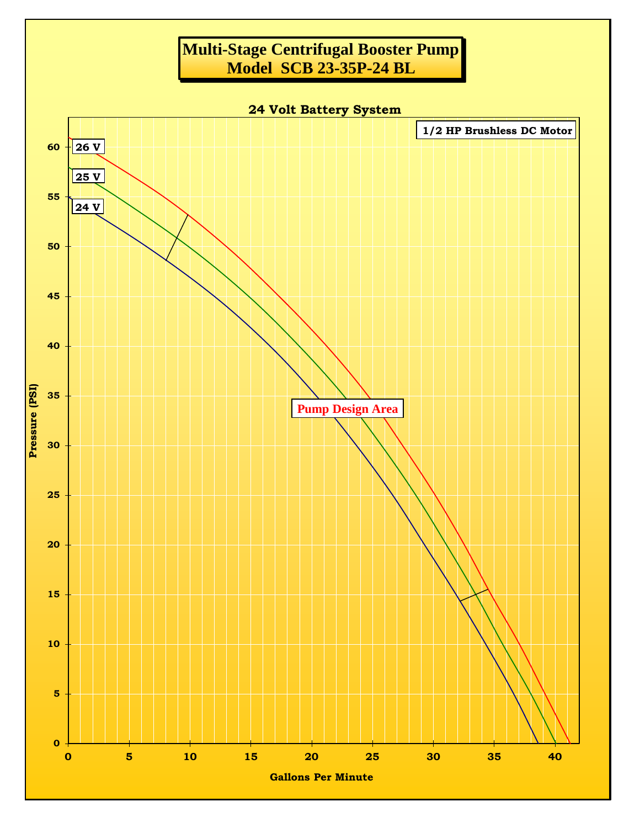